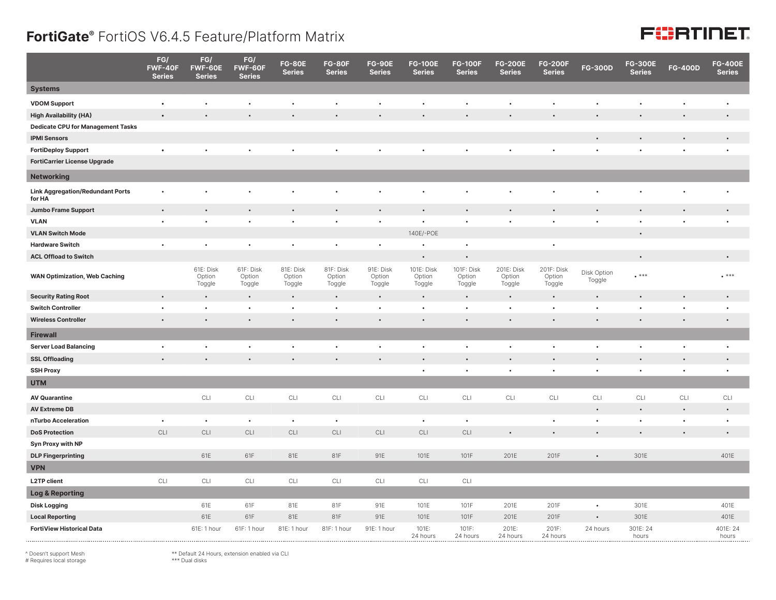## **FortiGate®** FortiOS V6.4.5 Feature/Platform Matrix

## FURTINET

|                                                   | FG/<br>FWF-40F<br><b>Series</b> | FG/<br>FWF-60E<br><b>Series</b> | FG/<br>FWF-60F<br><b>Series</b> | <b>FG-80E</b><br><b>Series</b> | <b>FG-80F</b><br><b>Series</b> | <b>FG-90E</b><br><b>Series</b>   | <b>FG-100E</b><br><b>Series</b> | <b>FG-100F</b><br><b>Series</b> | <b>FG-200E</b><br><b>Series</b> | <b>FG-200F</b><br><b>Series</b>  | <b>FG-300D</b>        | <b>FG-300E</b><br><b>Series</b> | <b>FG-400D</b> | <b>FG-400E</b><br><b>Series</b> |
|---------------------------------------------------|---------------------------------|---------------------------------|---------------------------------|--------------------------------|--------------------------------|----------------------------------|---------------------------------|---------------------------------|---------------------------------|----------------------------------|-----------------------|---------------------------------|----------------|---------------------------------|
| <b>Systems</b>                                    |                                 |                                 |                                 |                                |                                |                                  |                                 |                                 |                                 |                                  |                       |                                 |                |                                 |
| <b>VDOM Support</b>                               | $\bullet$                       | $\bullet$                       | ٠                               | $\bullet$                      | $\bullet$                      | $\bullet$                        | $\bullet$                       | $\bullet$                       | $\bullet$                       | $\bullet$                        | $\bullet$             | $\bullet$                       | $\bullet$      | $\bullet$                       |
| <b>High Availability (HA)</b>                     |                                 |                                 |                                 |                                |                                |                                  |                                 |                                 |                                 |                                  |                       |                                 | $\bullet$      | $\bullet$                       |
| <b>Dedicate CPU for Management Tasks</b>          |                                 |                                 |                                 |                                |                                |                                  |                                 |                                 |                                 |                                  |                       |                                 |                |                                 |
| <b>IPMI Sensors</b>                               |                                 |                                 |                                 |                                |                                |                                  |                                 |                                 |                                 |                                  |                       |                                 |                | $\bullet$                       |
| <b>FortiDeploy Support</b>                        |                                 |                                 |                                 |                                |                                |                                  |                                 |                                 |                                 |                                  |                       |                                 |                | $\ddot{\phantom{0}}$            |
| <b>FortiCarrier License Upgrade</b>               |                                 |                                 |                                 |                                |                                |                                  |                                 |                                 |                                 |                                  |                       |                                 |                |                                 |
| <b>Networking</b>                                 |                                 |                                 |                                 |                                |                                |                                  |                                 |                                 |                                 |                                  |                       |                                 |                |                                 |
| <b>Link Aggregation/Redundant Ports</b><br>for HA |                                 |                                 |                                 |                                |                                |                                  |                                 |                                 |                                 |                                  |                       |                                 |                | $\bullet$                       |
| Jumbo Frame Support                               | $\bullet$                       | $\bullet$                       | $\bullet$                       |                                | $\bullet$                      | $\bullet$                        | $\bullet$                       |                                 | $\bullet$                       |                                  | $\bullet$             |                                 | $\bullet$      | $\bullet$                       |
| <b>VLAN</b>                                       | $\bullet$                       | $\bullet$                       | $\bullet$                       | $\bullet$                      | $\bullet$                      | $\bullet$                        | ٠                               | $\bullet$                       | $\bullet$                       | $\bullet$                        | ٠                     | $\bullet$                       | $\bullet$      | $\bullet$                       |
| <b>VLAN Switch Mode</b>                           |                                 |                                 |                                 |                                |                                |                                  | 140E/-POE                       |                                 |                                 |                                  |                       | $\bullet$                       |                |                                 |
| <b>Hardware Switch</b>                            | $\bullet$                       | $\bullet$                       | $\bullet$                       | $\bullet$                      | $\bullet$                      | $\bullet$                        | $\bullet$                       | $\bullet$                       |                                 | $\bullet$                        |                       |                                 |                |                                 |
| <b>ACL Offload to Switch</b>                      |                                 |                                 |                                 |                                |                                |                                  | $\bullet$                       | $\bullet$                       |                                 |                                  |                       | $\bullet$                       |                | $\bullet$                       |
| <b>WAN Optimization, Web Caching</b>              |                                 | 61E: Disk<br>Option<br>Toggle   | 61F: Disk<br>Option<br>Toggle   | 81E: Disk<br>Option<br>Toggle  | 81F: Disk<br>Option<br>Toggle  | 91E: Disk<br>Option<br>Toggle    | 101E: Disk<br>Option<br>Toggle  | 101F: Disk<br>Option<br>Toggle  | 201E: Disk<br>Option<br>Toggle  | 201F: Disk<br>Option<br>Toggle   | Disk Option<br>Toggle | $***$                           |                | $****$                          |
| <b>Security Rating Root</b>                       | $\bullet$                       | $\bullet$                       | $\bullet$                       | $\bullet$                      | $\bullet$                      | $\bullet$                        | $\bullet$                       | $\bullet$                       | $\bullet$                       | $\bullet$                        | $\bullet$             | $\bullet$                       | $\bullet$      | $\bullet$                       |
| <b>Switch Controller</b>                          | $\bullet$                       | $\bullet$                       | $\bullet$                       | $\bullet$                      | $\bullet$                      | $\bullet$                        | $\bullet$                       | $\bullet$                       | $\bullet$                       | $\bullet$                        | $\bullet$             | $\bullet$                       | $\bullet$      | $\bullet$                       |
| <b>Wireless Controller</b>                        | $\bullet$                       | $\bullet$                       | $\bullet$                       | $\bullet$                      | $\bullet$                      | $\bullet$                        | $\bullet$                       | $\bullet$                       | $\bullet$                       | $\bullet$                        | $\bullet$             | $\bullet$                       | $\bullet$      | $\bullet$                       |
| <b>Firewall</b>                                   |                                 |                                 |                                 |                                |                                |                                  |                                 |                                 |                                 |                                  |                       |                                 |                |                                 |
| <b>Server Load Balancing</b>                      | $\bullet$                       | ٠                               | ٠                               | $\bullet$                      | $\bullet$                      | $\bullet$                        | $\bullet$                       | $\bullet$                       | $\bullet$                       | $\bullet$                        | $\bullet$             | $\bullet$                       | $\bullet$      | $\bullet$                       |
| <b>SSL Offloading</b>                             |                                 |                                 |                                 |                                | $\bullet$                      |                                  | $\bullet$                       |                                 | $\bullet$                       |                                  | $\bullet$             |                                 | $\bullet$      | $\bullet$                       |
| <b>SSH Proxy</b>                                  |                                 |                                 |                                 |                                |                                |                                  | $\bullet$                       | $\bullet$                       | $\bullet$                       | $\bullet$                        | $\bullet$             | $\bullet$                       | $\bullet$      | $\bullet$                       |
| <b>UTM</b>                                        |                                 |                                 |                                 |                                |                                |                                  |                                 |                                 |                                 |                                  |                       |                                 |                |                                 |
| <b>AV Quarantine</b>                              |                                 | CLI                             | CLI                             | CLI                            | CLI                            | $\mathbb{C}\mathbb{L}\mathbb{I}$ | CLI                             | CLI                             | CLI                             | $\mathbb{C}\mathbb{L}\mathbb{I}$ | CLI                   | CLI                             | CLI            | CLI                             |
| <b>AV Extreme DB</b>                              |                                 |                                 |                                 |                                |                                |                                  |                                 |                                 |                                 |                                  | $\bullet$             |                                 | $\bullet$      | $\bullet$                       |
| nTurbo Acceleration                               | $\bullet$                       | $\bullet$                       | $\bullet$                       | $\bullet$                      | $\bullet$                      |                                  | $\bullet$                       | $\bullet$                       |                                 | $\bullet$                        | $\bullet$             | $\bullet$                       | $\bullet$      | $\bullet$                       |
| <b>DoS Protection</b>                             | CLI                             | $\mathsf{CLI}$                  | $\mathsf{CLI}$                  | $\mathsf{CLI}$                 | CLI                            | CLI                              | $\mathsf{CLI}$                  | $\mathsf{CLI}$                  | $\bullet$                       |                                  | $\bullet$             |                                 | $\bullet$      |                                 |
| <b>Syn Proxy with NP</b>                          |                                 |                                 |                                 |                                |                                |                                  |                                 |                                 |                                 |                                  |                       |                                 |                |                                 |
| <b>DLP Fingerprinting</b>                         |                                 | 61E                             | 61F                             | 81E                            | 81F                            | 91E                              | 101E                            | 101F                            | 201E                            | 201F                             | $\bullet$             | 301E                            |                | 401E                            |
| <b>VPN</b>                                        |                                 |                                 |                                 |                                |                                |                                  |                                 |                                 |                                 |                                  |                       |                                 |                |                                 |
| <b>L2TP client</b>                                | CLI                             | CLI                             | CLI                             | <b>CLI</b>                     | CLI                            | CLI                              | CLI                             | CLI                             |                                 |                                  |                       |                                 |                |                                 |
| <b>Log &amp; Reporting</b>                        |                                 |                                 |                                 |                                |                                |                                  |                                 |                                 |                                 |                                  |                       |                                 |                |                                 |
| <b>Disk Logging</b>                               |                                 | 61E                             | 61F                             | 81E                            | 81F                            | 91E                              | 101E                            | 101F                            | 201E                            | 201F                             | $\bullet$             | 301E                            |                | 401E                            |
| <b>Local Reporting</b>                            |                                 | 61E                             | 61F                             | 81E                            | 81F                            | 91E                              | 101E                            | 101F                            | 201E                            | 201F                             | $\bullet$             | 301E                            |                | 401E                            |
| <b>FortiView Historical Data</b>                  |                                 | 61E: 1 hour                     | 61F: 1 hour                     | 81E: 1 hour                    | 81F: 1 hour                    | 91E: 1 hour                      | 101E:<br>24 hours               | 101F:<br>24 hours               | 201E:<br>24 hours               | 201F:<br>24 hours                | 24 hours              | 301E: 24<br>hours               |                | 401E: 24<br>hours               |

^ Doesn't support Mesh # Requires local storage

\*\* Default 24 Hours, extension enabled via CLI \*\*\* Dual disks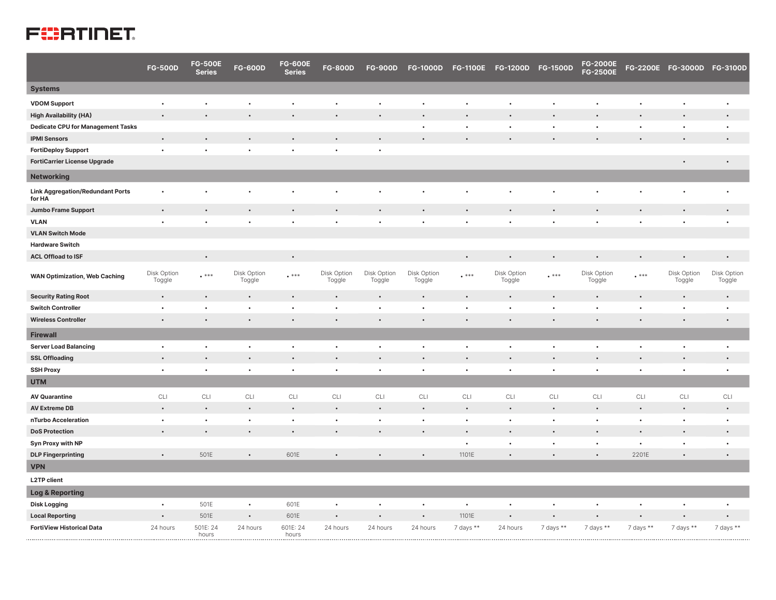## **FEERTINET**

|                                                   | <b>FG-500D</b>        | <b>FG-500E</b><br><b>Series</b> | <b>FG-600D</b>        | <b>FG-600E</b><br><b>Series</b> | <b>FG-800D</b>        | <b>FG-900D</b>        | <b>FG-1000D</b>       | <b>FG-1100E</b> | FG-1200D FG-1500D     |           | <b>FG-2000E</b><br><b>FG-2500E</b> |           | FG-2200E FG-3000D FG-3100D |                       |
|---------------------------------------------------|-----------------------|---------------------------------|-----------------------|---------------------------------|-----------------------|-----------------------|-----------------------|-----------------|-----------------------|-----------|------------------------------------|-----------|----------------------------|-----------------------|
| <b>Systems</b>                                    |                       |                                 |                       |                                 |                       |                       |                       |                 |                       |           |                                    |           |                            |                       |
| <b>VDOM Support</b>                               | $\bullet$             | $\bullet$                       | $\bullet$             | $\bullet$                       |                       | $\bullet$             |                       |                 |                       |           |                                    |           | ٠                          | $\bullet$             |
| <b>High Availability (HA)</b>                     | $\bullet$             | $\bullet$                       |                       |                                 |                       | $\bullet$             |                       |                 |                       |           |                                    |           |                            | $\bullet$             |
| <b>Dedicate CPU for Management Tasks</b>          |                       |                                 |                       |                                 |                       |                       | $\bullet$             | $\bullet$       |                       | $\bullet$ | $\bullet$                          | $\bullet$ | $\bullet$                  | $\bullet$             |
| <b>IPMI Sensors</b>                               | $\bullet$             | $\bullet$                       |                       |                                 |                       |                       |                       |                 |                       |           |                                    |           |                            |                       |
| <b>FortiDeploy Support</b>                        | $\bullet$             | $\bullet$                       |                       |                                 | $\bullet$             | $\bullet$             |                       |                 |                       |           |                                    |           |                            |                       |
| <b>FortiCarrier License Upgrade</b>               |                       |                                 |                       |                                 |                       |                       |                       |                 |                       |           |                                    |           | $\bullet$                  | $\bullet$             |
| <b>Networking</b>                                 |                       |                                 |                       |                                 |                       |                       |                       |                 |                       |           |                                    |           |                            |                       |
| <b>Link Aggregation/Redundant Ports</b><br>for HA |                       |                                 |                       |                                 |                       |                       |                       |                 |                       |           |                                    |           |                            | $\bullet$             |
| <b>Jumbo Frame Support</b>                        | $\bullet$             | $\bullet$                       | $\bullet$             | $\bullet$                       |                       | $\bullet$             |                       | $\bullet$       | $\bullet$             | $\bullet$ | $\bullet$                          | $\bullet$ | $\bullet$                  | $\bullet$             |
| <b>VLAN</b>                                       | $\bullet$             | $\bullet$                       | $\bullet$             |                                 |                       |                       |                       |                 | $\bullet$             |           | $\bullet$                          |           | $\bullet$                  | $\bullet$             |
| <b>VLAN Switch Mode</b>                           |                       |                                 |                       |                                 |                       |                       |                       |                 |                       |           |                                    |           |                            |                       |
| <b>Hardware Switch</b>                            |                       |                                 |                       |                                 |                       |                       |                       |                 |                       |           |                                    |           |                            |                       |
| <b>ACL Offload to ISF</b>                         |                       | $\bullet$                       |                       | $\bullet$                       |                       |                       |                       | $\bullet$       |                       | $\bullet$ | $\bullet$                          | $\bullet$ | $\bullet$                  | $\bullet$             |
| <b>WAN Optimization, Web Caching</b>              | Disk Option<br>Toggle | $***$                           | Disk Option<br>Toggle | $^{\bullet}$ ***                | Disk Option<br>Toggle | Disk Option<br>Toggle | Disk Option<br>Toggle | $***$           | Disk Option<br>Toggle | $***$     | Disk Option<br>Toggle              | $***$     | Disk Option<br>Toggle      | Disk Option<br>Toggle |
| <b>Security Rating Root</b>                       | $\bullet$             | $\bullet$                       | $\bullet$             | $\bullet$                       | $\bullet$             | $\bullet$             |                       |                 |                       |           | $\bullet$                          | $\bullet$ | $\bullet$                  | $\bullet$             |
| <b>Switch Controller</b>                          | $\bullet$             | $\bullet$                       | $\bullet$             | $\bullet$                       | $\bullet$             | $\bullet$             |                       | $\bullet$       |                       |           |                                    |           | $\bullet$                  | $\bullet$             |
| <b>Wireless Controller</b>                        | $\bullet$             | $\bullet$                       | $\bullet$             | $\bullet$                       |                       | $\bullet$             |                       |                 | $\bullet$             |           | $\bullet$                          |           | $\bullet$                  | $\bullet$             |
| <b>Firewall</b>                                   |                       |                                 |                       |                                 |                       |                       |                       |                 |                       |           |                                    |           |                            |                       |
| <b>Server Load Balancing</b>                      | $\bullet$             | $\bullet$                       | $\bullet$             | $\bullet$                       | $\bullet$             | $\bullet$             | $\bullet$             |                 |                       | $\bullet$ | $\bullet$                          | ٠         | $\bullet$                  | $\bullet$             |
| <b>SSL Offloading</b>                             | $\bullet$             | $\bullet$                       | $\bullet$             | $\bullet$                       |                       |                       |                       |                 |                       |           | $\bullet$                          | $\bullet$ | $\bullet$                  | $\bullet$             |
| <b>SSH Proxy</b>                                  | $\bullet$             | $\bullet$                       | $\bullet$             | $\bullet$                       | $\bullet$             | $\bullet$             | $\bullet$             | $\bullet$       | $\bullet$             |           | $\bullet$                          | $\bullet$ | $\bullet$                  | $\bullet$             |
| <b>UTM</b>                                        |                       |                                 |                       |                                 |                       |                       |                       |                 |                       |           |                                    |           |                            |                       |
| <b>AV Quarantine</b>                              | CLI                   | CLI                             | CLI                   | CLI                             | CLI                   | CLI                   | CLI                   | CLI             | CLI                   | CLI       | CLI                                | CLI       | CLI                        | CLI                   |
| <b>AV Extreme DB</b>                              | $\bullet$             | $\bullet$                       | $\bullet$             | $\bullet$                       |                       |                       |                       |                 |                       |           | $\bullet$                          |           | $\bullet$                  | $\bullet$             |
| nTurbo Acceleration                               | $\bullet$             | $\bullet$                       | $\bullet$             | $\bullet$                       | $\bullet$             | $\bullet$             | $\bullet$             | $\bullet$       | $\bullet$             | $\bullet$ | $\bullet$                          | $\bullet$ | $\bullet$                  | $\bullet$             |
| <b>DoS Protection</b>                             | $\bullet$             | $\bullet$                       | $\bullet$             | $\bullet$                       | $\bullet$             | $\bullet$             | $\bullet$             |                 |                       |           | $\bullet$                          | $\bullet$ | $\bullet$                  | $\bullet$             |
| <b>Syn Proxy with NP</b>                          |                       |                                 |                       |                                 |                       |                       |                       |                 | $\bullet$             | $\bullet$ | $\bullet$                          | $\bullet$ | $\bullet$                  | $\bullet$             |
| <b>DLP Fingerprinting</b>                         | $\bullet$             | 501E                            |                       | 601E                            |                       |                       |                       | 1101E           |                       |           |                                    | 2201E     | $\bullet$                  | $\bullet$             |
| <b>VPN</b>                                        |                       |                                 |                       |                                 |                       |                       |                       |                 |                       |           |                                    |           |                            |                       |
| <b>L2TP client</b>                                |                       |                                 |                       |                                 |                       |                       |                       |                 |                       |           |                                    |           |                            |                       |
| <b>Log &amp; Reporting</b>                        |                       |                                 |                       |                                 |                       |                       |                       |                 |                       |           |                                    |           |                            |                       |
| <b>Disk Logging</b>                               | $\bullet$             | 501E                            | $\bullet$             | 601E                            | $\bullet$             |                       |                       | $\bullet$       |                       |           | $\bullet$                          |           |                            | $\bullet$             |
| <b>Local Reporting</b>                            | $\bullet$             | 501E                            | $\bullet$             | 601E                            |                       |                       |                       | 1101E           |                       |           |                                    |           | ٠                          | $\bullet$             |
| <b>FortiView Historical Data</b>                  | 24 hours              | 501E: 24<br>hours               | 24 hours              | 601E: 24<br>hours               | 24 hours              | 24 hours              | 24 hours              | 7 days **       | 24 hours              | 7 days ** | 7 days **                          | 7 days ** | 7 days **                  | 7 days **             |